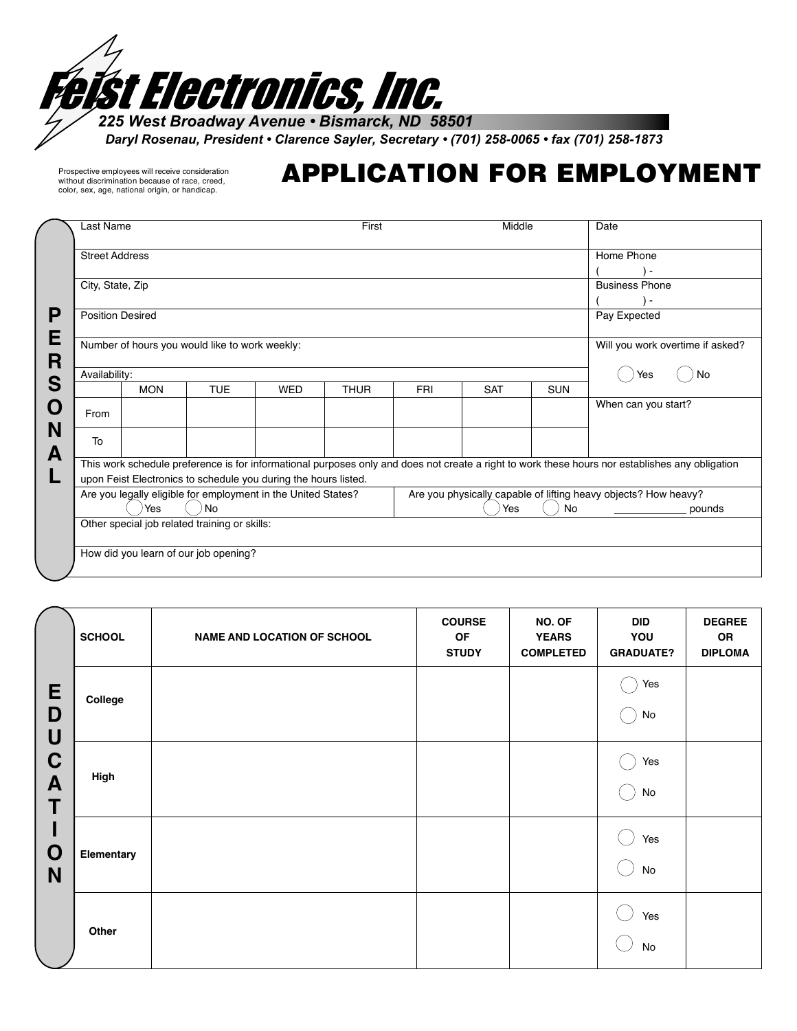

*Daryl Rosenau, President • Clarence Sayler, Secretary • (701) 258-0065 • fax (701) 258-1873*

Prospective employees will receive consideration without discrimination because of race, creed, color, sex, age, national origin, or handicap.

## APPLICATION FOR EMPLOYMENT

| Last Name                                                                                                                                                                                                          |                                                                                                                                  |            |            | First       |            | Middle     |                       | Date                             |
|--------------------------------------------------------------------------------------------------------------------------------------------------------------------------------------------------------------------|----------------------------------------------------------------------------------------------------------------------------------|------------|------------|-------------|------------|------------|-----------------------|----------------------------------|
|                                                                                                                                                                                                                    | <b>Street Address</b>                                                                                                            |            |            |             |            |            |                       | Home Phone                       |
|                                                                                                                                                                                                                    |                                                                                                                                  |            |            |             |            |            |                       |                                  |
| City, State, Zip                                                                                                                                                                                                   |                                                                                                                                  |            |            |             |            |            | <b>Business Phone</b> |                                  |
|                                                                                                                                                                                                                    |                                                                                                                                  |            |            |             |            |            |                       | $\overline{\phantom{a}}$         |
| <b>Position Desired</b>                                                                                                                                                                                            |                                                                                                                                  |            |            |             |            |            | Pay Expected          |                                  |
|                                                                                                                                                                                                                    | Number of hours you would like to work weekly:                                                                                   |            |            |             |            |            |                       | Will you work overtime if asked? |
| Availability:                                                                                                                                                                                                      |                                                                                                                                  |            |            |             |            |            |                       | No                               |
|                                                                                                                                                                                                                    | <b>MON</b>                                                                                                                       | <b>TUE</b> | <b>WED</b> | <b>THUR</b> | <b>FRI</b> | <b>SAT</b> | <b>SUN</b>            |                                  |
| From                                                                                                                                                                                                               |                                                                                                                                  |            |            |             |            |            |                       | When can you start?              |
| To                                                                                                                                                                                                                 |                                                                                                                                  |            |            |             |            |            |                       |                                  |
| This work schedule preference is for informational purposes only and does not create a right to work these hours nor establishes any obligation<br>upon Feist Electronics to schedule you during the hours listed. |                                                                                                                                  |            |            |             |            |            |                       |                                  |
|                                                                                                                                                                                                                    | Are you physically capable of lifting heavy objects? How heavy?<br>Are you legally eligible for employment in the United States? |            |            |             |            |            |                       |                                  |
|                                                                                                                                                                                                                    | <b>No</b><br>Yes                                                                                                                 |            |            |             |            | Yes        | No                    | pounds                           |
|                                                                                                                                                                                                                    | Other special job related training or skills:                                                                                    |            |            |             |            |            |                       |                                  |
|                                                                                                                                                                                                                    | How did you learn of our job opening?                                                                                            |            |            |             |            |            |                       |                                  |
|                                                                                                                                                                                                                    |                                                                                                                                  |            |            |             |            |            |                       |                                  |

|                       | <b>SCHOOL</b> | NAME AND LOCATION OF SCHOOL | <b>COURSE</b><br>OF<br><b>STUDY</b> | NO. OF<br><b>YEARS</b><br><b>COMPLETED</b> | <b>DID</b><br>YOU<br><b>GRADUATE?</b> | <b>DEGREE</b><br>OR<br><b>DIPLOMA</b> |
|-----------------------|---------------|-----------------------------|-------------------------------------|--------------------------------------------|---------------------------------------|---------------------------------------|
| E<br>D<br>U           | College       |                             |                                     |                                            | Yes<br>$\operatorname{\mathsf{No}}$   |                                       |
| $\mathbf C$<br>A<br>T | High          |                             |                                     |                                            | Yes<br>$\operatorname{\mathsf{No}}$   |                                       |
| ı<br>O<br>N           | Elementary    |                             |                                     |                                            | Yes<br>No                             |                                       |
|                       | Other         |                             |                                     |                                            | Yes<br>$\mathsf{No}$                  |                                       |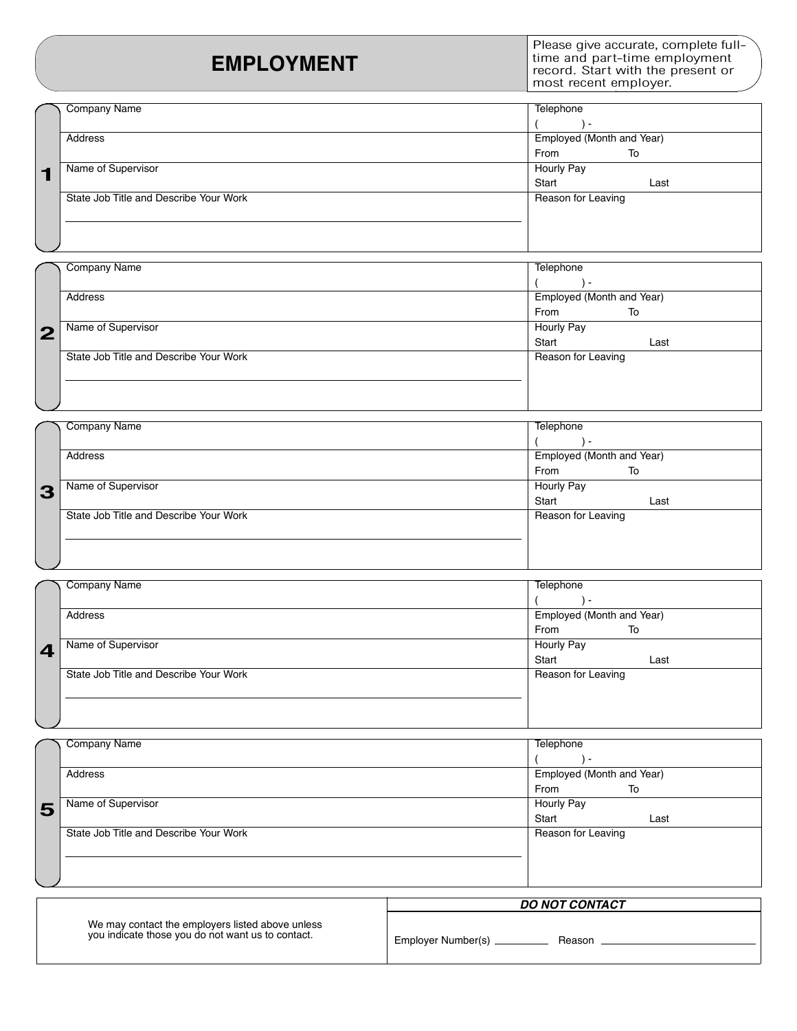## **EMPLOYMENT**

Please give accurate, complete fulltime and part-time employment record. Start with the present or most recent employer.

|   | Company Name                           | Telephone                 |           |      |  |
|---|----------------------------------------|---------------------------|-----------|------|--|
|   |                                        |                           | $\,$ $\,$ |      |  |
|   | Address                                | Employed (Month and Year) |           |      |  |
|   |                                        | From                      |           | To   |  |
| ⊣ | Name of Supervisor                     | Hourly Pay                |           |      |  |
|   |                                        | Start                     |           | Last |  |
|   | State Job Title and Describe Your Work | Reason for Leaving        |           |      |  |
|   |                                        |                           |           |      |  |
|   |                                        |                           |           |      |  |
|   |                                        |                           |           |      |  |

|                | <b>Company Name</b>                    | Telephone                 |                          |      |  |
|----------------|----------------------------------------|---------------------------|--------------------------|------|--|
|                |                                        |                           | $\overline{\phantom{0}}$ |      |  |
|                | Address                                | Employed (Month and Year) |                          |      |  |
|                |                                        | From                      |                          | To   |  |
| $\overline{2}$ | Name of Supervisor                     | <b>Hourly Pay</b>         |                          |      |  |
|                |                                        | Start                     |                          | Last |  |
|                | State Job Title and Describe Your Work | Reason for Leaving        |                          |      |  |
|                |                                        |                           |                          |      |  |
|                |                                        |                           |                          |      |  |
|                |                                        |                           |                          |      |  |

|   | <b>Company Name</b>                    | Telephone                 |     |      |
|---|----------------------------------------|---------------------------|-----|------|
|   |                                        |                           | . . |      |
|   | Address                                | Employed (Month and Year) |     |      |
|   |                                        | From                      |     | To   |
| 3 | Name of Supervisor                     | Hourly Pay                |     |      |
|   |                                        | Start                     |     | Last |
|   | State Job Title and Describe Your Work | Reason for Leaving        |     |      |
|   |                                        |                           |     |      |
|   |                                        |                           |     |      |
|   |                                        |                           |     |      |

|                         | <b>Company Name</b>                    | Telephone                 |     |      |  |
|-------------------------|----------------------------------------|---------------------------|-----|------|--|
|                         |                                        |                           | ۔ ۱ |      |  |
|                         | Address                                | Employed (Month and Year) |     |      |  |
|                         |                                        | From                      |     | To   |  |
| $\overline{\mathbf{4}}$ | Name of Supervisor                     | Hourly Pay                |     |      |  |
|                         |                                        | Start                     |     | Last |  |
|                         | State Job Title and Describe Your Work | Reason for Leaving        |     |      |  |
|                         |                                        |                           |     |      |  |
|                         |                                        |                           |     |      |  |
|                         |                                        |                           |     |      |  |

|   | Company Name                           | Telephone                 |     |      |
|---|----------------------------------------|---------------------------|-----|------|
| 5 |                                        |                           | ۔ ۱ |      |
|   | Address                                | Employed (Month and Year) |     |      |
|   |                                        | From                      |     | To   |
|   | Name of Supervisor                     | <b>Hourly Pay</b>         |     |      |
|   |                                        | Start                     |     | Last |
|   | State Job Title and Describe Your Work | Reason for Leaving        |     |      |
|   |                                        |                           |     |      |
|   |                                        |                           |     |      |
|   |                                        |                           |     |      |

|                                                   | <b>DO NOT CONTACT</b> |  |  |  |  |
|---------------------------------------------------|-----------------------|--|--|--|--|
| We may contact the employers listed above unless  | Employer Number(s).   |  |  |  |  |
| you indicate those you do not want us to contact. | Reason                |  |  |  |  |